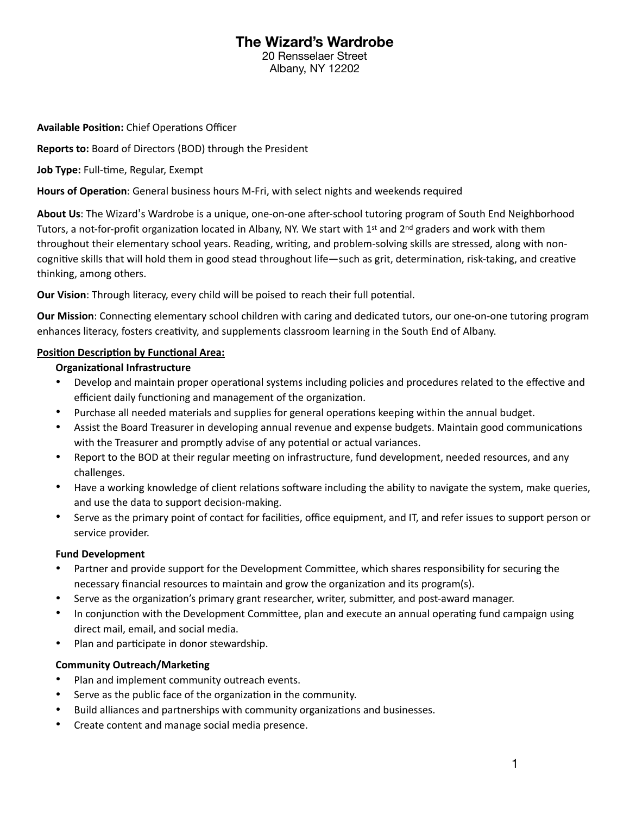# **The Wizard's Wardrobe**

20 Rensselaer Street Albany, NY 12202

**Available Position:** Chief Operations Officer

**Reports to:** Board of Directors (BOD) through the President

Job Type: Full-time, Regular, Exempt

**Hours of Operation**: General business hours M-Fri, with select nights and weekends required

**About Us**: The Wizard's Wardrobe is a unique, one-on-one after-school tutoring program of South End Neighborhood Tutors, a not-for-profit organization located in Albany, NY. We start with 1st and  $2^{nd}$  graders and work with them throughout their elementary school years. Reading, writing, and problem-solving skills are stressed, along with noncognitive skills that will hold them in good stead throughout life—such as grit, determination, risk-taking, and creative thinking, among others.

**Our Vision**: Through literacy, every child will be poised to reach their full potential.

**Our Mission**: Connecting elementary school children with caring and dedicated tutors, our one-on-one tutoring program enhances literacy, fosters creativity, and supplements classroom learning in the South End of Albany.

# **Position Description by Functional Area:**

# **Organizational Infrastructure**

- Develop and maintain proper operational systems including policies and procedures related to the effective and efficient daily functioning and management of the organization.
- Purchase all needed materials and supplies for general operations keeping within the annual budget.
- Assist the Board Treasurer in developing annual revenue and expense budgets. Maintain good communications with the Treasurer and promptly advise of any potential or actual variances.
- Report to the BOD at their regular meeting on infrastructure, fund development, needed resources, and any challenges.
- Have a working knowledge of client relations software including the ability to navigate the system, make queries, and use the data to support decision-making.
- Serve as the primary point of contact for facilities, office equipment, and IT, and refer issues to support person or service provider.

# **Fund Development**

- Partner and provide support for the Development Committee, which shares responsibility for securing the necessary financial resources to maintain and grow the organization and its program(s).
- Serve as the organization's primary grant researcher, writer, submitter, and post-award manager.
- In conjunction with the Development Committee, plan and execute an annual operating fund campaign using direct mail, email, and social media.
- Plan and participate in donor stewardship.

# **Community Outreach/Marketing**

- Plan and implement community outreach events.
- Serve as the public face of the organization in the community.
- Build alliances and partnerships with community organizations and businesses.
- Create content and manage social media presence.